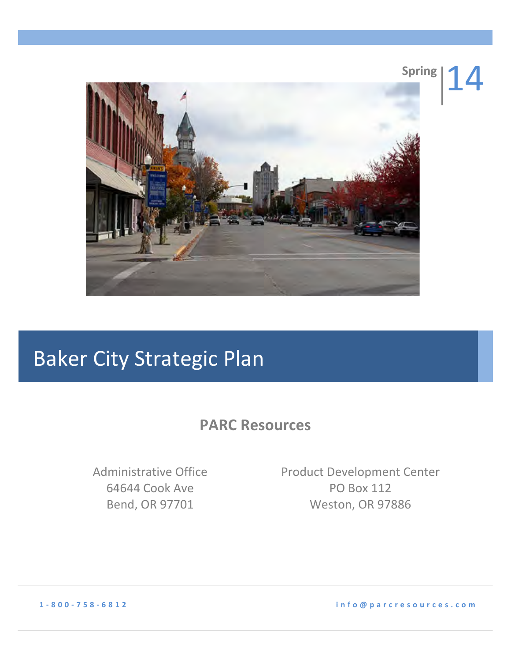

# **Baker City Strategic Plan**

**PARC Resources** 

Administrative!Office 64644 Cook Ave Bend,!OR!97701

Product Development Center PO Box 112 Weston, OR 97886

**1 2 800 2 758 2 6812 !!!!!!info@parcresources.com**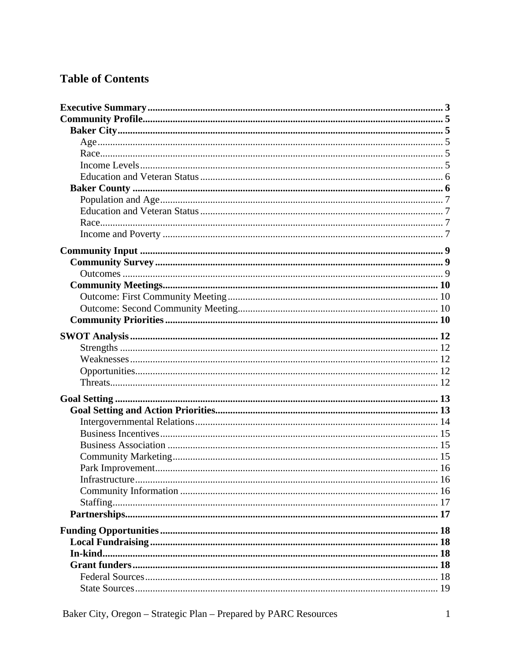# **Table of Contents**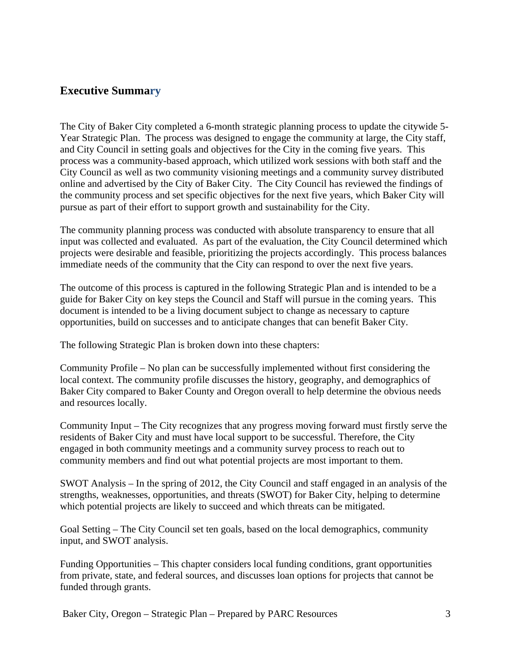# **Executive Summary**

The City of Baker City completed a 6-month strategic planning process to update the citywide 5- Year Strategic Plan. The process was designed to engage the community at large, the City staff, and City Council in setting goals and objectives for the City in the coming five years. This process was a community-based approach, which utilized work sessions with both staff and the City Council as well as two community visioning meetings and a community survey distributed online and advertised by the City of Baker City. The City Council has reviewed the findings of the community process and set specific objectives for the next five years, which Baker City will pursue as part of their effort to support growth and sustainability for the City.

The community planning process was conducted with absolute transparency to ensure that all input was collected and evaluated. As part of the evaluation, the City Council determined which projects were desirable and feasible, prioritizing the projects accordingly. This process balances immediate needs of the community that the City can respond to over the next five years.

The outcome of this process is captured in the following Strategic Plan and is intended to be a guide for Baker City on key steps the Council and Staff will pursue in the coming years. This document is intended to be a living document subject to change as necessary to capture opportunities, build on successes and to anticipate changes that can benefit Baker City.

The following Strategic Plan is broken down into these chapters:

Community Profile – No plan can be successfully implemented without first considering the local context. The community profile discusses the history, geography, and demographics of Baker City compared to Baker County and Oregon overall to help determine the obvious needs and resources locally.

Community Input – The City recognizes that any progress moving forward must firstly serve the residents of Baker City and must have local support to be successful. Therefore, the City engaged in both community meetings and a community survey process to reach out to community members and find out what potential projects are most important to them.

SWOT Analysis – In the spring of 2012, the City Council and staff engaged in an analysis of the strengths, weaknesses, opportunities, and threats (SWOT) for Baker City, helping to determine which potential projects are likely to succeed and which threats can be mitigated.

Goal Setting – The City Council set ten goals, based on the local demographics, community input, and SWOT analysis.

Funding Opportunities – This chapter considers local funding conditions, grant opportunities from private, state, and federal sources, and discusses loan options for projects that cannot be funded through grants.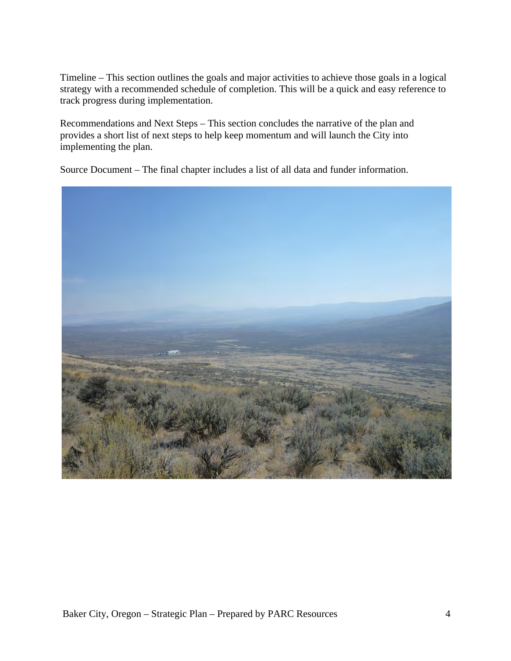Timeline – This section outlines the goals and major activities to achieve those goals in a logical strategy with a recommended schedule of completion. This will be a quick and easy reference to track progress during implementation.

Recommendations and Next Steps – This section concludes the narrative of the plan and provides a short list of next steps to help keep momentum and will launch the City into implementing the plan.

Source Document – The final chapter includes a list of all data and funder information.

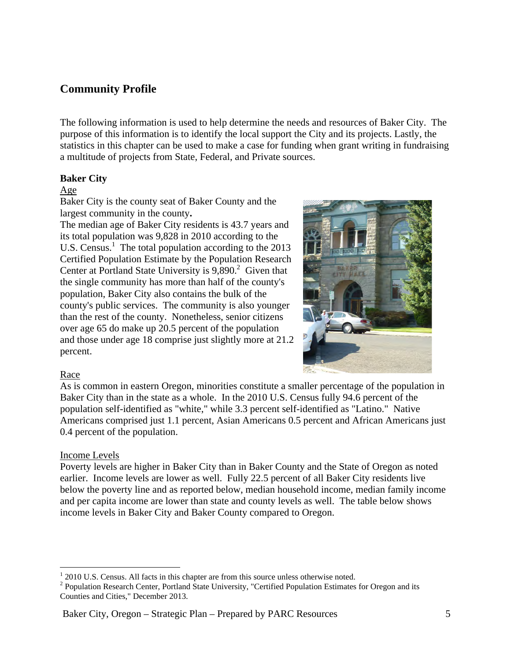# **Community Profile**

The following information is used to help determine the needs and resources of Baker City. The purpose of this information is to identify the local support the City and its projects. Lastly, the statistics in this chapter can be used to make a case for funding when grant writing in fundraising a multitude of projects from State, Federal, and Private sources.

# **Baker City**

#### Age

Baker City is the county seat of Baker County and the largest community in the county**.** 

The median age of Baker City residents is 43.7 years and its total population was 9,828 in 2010 according to the U.S. Census. $<sup>1</sup>$  The total population according to the 2013</sup> Certified Population Estimate by the Population Research Center at Portland State University is  $9,890.<sup>2</sup>$  Given that the single community has more than half of the county's population, Baker City also contains the bulk of the county's public services. The community is also younger than the rest of the county. Nonetheless, senior citizens over age 65 do make up 20.5 percent of the population and those under age 18 comprise just slightly more at 21.2 percent.



#### Race

As is common in eastern Oregon, minorities constitute a smaller percentage of the population in Baker City than in the state as a whole. In the 2010 U.S. Census fully 94.6 percent of the population self-identified as "white," while 3.3 percent self-identified as "Latino." Native Americans comprised just 1.1 percent, Asian Americans 0.5 percent and African Americans just 0.4 percent of the population.

#### Income Levels

Poverty levels are higher in Baker City than in Baker County and the State of Oregon as noted earlier. Income levels are lower as well. Fully 22.5 percent of all Baker City residents live below the poverty line and as reported below, median household income, median family income and per capita income are lower than state and county levels as well. The table below shows income levels in Baker City and Baker County compared to Oregon.

 $\frac{1}{1}$  $12010$  U.S. Census. All facts in this chapter are from this source unless otherwise noted.

 $2$  Population Research Center, Portland State University, "Certified Population Estimates for Oregon and its Counties and Cities," December 2013.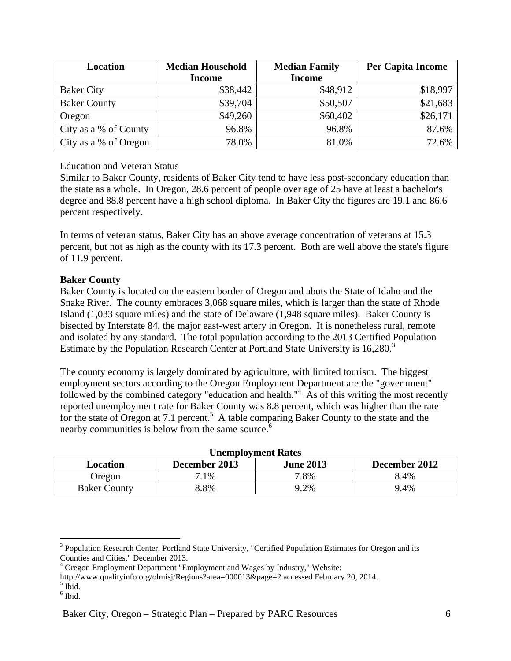| Location              | <b>Median Household</b> | <b>Median Family</b> | <b>Per Capita Income</b> |
|-----------------------|-------------------------|----------------------|--------------------------|
|                       | <b>Income</b>           | <b>Income</b>        |                          |
| <b>Baker City</b>     | \$38,442                | \$48,912             | \$18,997                 |
| <b>Baker County</b>   | \$39,704                | \$50,507             | \$21,683                 |
| Oregon                | \$49,260                | \$60,402             | \$26,171                 |
| City as a % of County | 96.8%                   | 96.8%                | 87.6%                    |
| City as a % of Oregon | 78.0%                   | 81.0%                | 72.6%                    |

# Education and Veteran Status

Similar to Baker County, residents of Baker City tend to have less post-secondary education than the state as a whole. In Oregon, 28.6 percent of people over age of 25 have at least a bachelor's degree and 88.8 percent have a high school diploma. In Baker City the figures are 19.1 and 86.6 percent respectively.

In terms of veteran status, Baker City has an above average concentration of veterans at 15.3 percent, but not as high as the county with its 17.3 percent. Both are well above the state's figure of 11.9 percent.

# **Baker County**

Baker County is located on the eastern border of Oregon and abuts the State of Idaho and the Snake River. The county embraces 3,068 square miles, which is larger than the state of Rhode Island (1,033 square miles) and the state of Delaware (1,948 square miles). Baker County is bisected by Interstate 84, the major east-west artery in Oregon. It is nonetheless rural, remote and isolated by any standard. The total population according to the 2013 Certified Population Estimate by the Population Research Center at Portland State University is 16,280.<sup>3</sup>

The county economy is largely dominated by agriculture, with limited tourism. The biggest employment sectors according to the Oregon Employment Department are the "government" followed by the combined category "education and health."<sup>4</sup> As of this writing the most recently reported unemployment rate for Baker County was 8.8 percent, which was higher than the rate for the state of Oregon at 7.1 percent.<sup>5</sup> A table comparing Baker County to the state and the nearby communities is below from the same source.<sup>6</sup>

| Unemployment Rates                                             |        |      |      |  |  |  |
|----------------------------------------------------------------|--------|------|------|--|--|--|
| December 2012<br><b>June 2013</b><br>December 2013<br>Location |        |      |      |  |  |  |
| Oregon                                                         | $.1\%$ | 7.8% | 8.4% |  |  |  |
| <b>Baker County</b>                                            | 3.8%   | 9.2% | 9.4% |  |  |  |

#### **Unemployment Rates**

<sup>&</sup>lt;sup>2</sup><br>3 <sup>3</sup> Population Research Center, Portland State University, "Certified Population Estimates for Oregon and its Counties and Cities," December 2013.

<sup>&</sup>lt;sup>4</sup> Oregon Employment Department "Employment and Wages by Industry," Website:

http://www.qualityinfo.org/olmisj/Regions?area=000013&page=2 accessed February 20, 2014.

 $<sup>5</sup>$  Ibid.</sup>

<sup>6</sup> Ibid.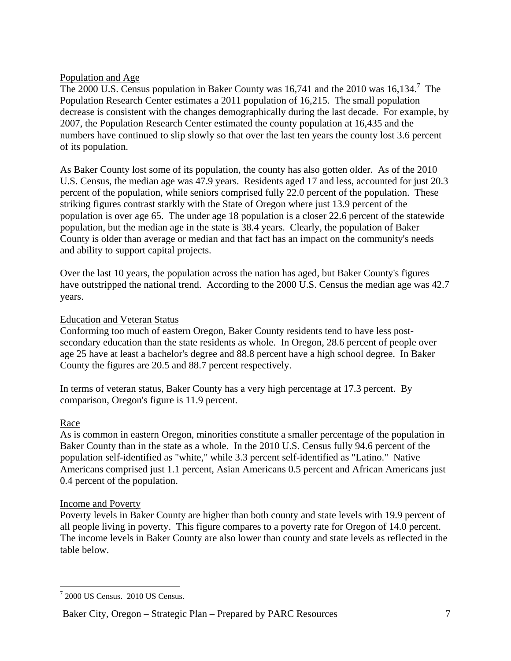# Population and Age

The  $2000$  U.S. Census population in Baker County was 16,741 and the  $2010$  was 16,134.<sup>7</sup> The Population Research Center estimates a 2011 population of 16,215. The small population decrease is consistent with the changes demographically during the last decade. For example, by 2007, the Population Research Center estimated the county population at 16,435 and the numbers have continued to slip slowly so that over the last ten years the county lost 3.6 percent of its population.

As Baker County lost some of its population, the county has also gotten older. As of the 2010 U.S. Census, the median age was 47.9 years. Residents aged 17 and less, accounted for just 20.3 percent of the population, while seniors comprised fully 22.0 percent of the population. These striking figures contrast starkly with the State of Oregon where just 13.9 percent of the population is over age 65. The under age 18 population is a closer 22.6 percent of the statewide population, but the median age in the state is 38.4 years. Clearly, the population of Baker County is older than average or median and that fact has an impact on the community's needs and ability to support capital projects.

Over the last 10 years, the population across the nation has aged, but Baker County's figures have outstripped the national trend. According to the 2000 U.S. Census the median age was 42.7 years.

# Education and Veteran Status

Conforming too much of eastern Oregon, Baker County residents tend to have less postsecondary education than the state residents as whole. In Oregon, 28.6 percent of people over age 25 have at least a bachelor's degree and 88.8 percent have a high school degree. In Baker County the figures are 20.5 and 88.7 percent respectively.

In terms of veteran status, Baker County has a very high percentage at 17.3 percent. By comparison, Oregon's figure is 11.9 percent.

# Race

As is common in eastern Oregon, minorities constitute a smaller percentage of the population in Baker County than in the state as a whole. In the 2010 U.S. Census fully 94.6 percent of the population self-identified as "white," while 3.3 percent self-identified as "Latino." Native Americans comprised just 1.1 percent, Asian Americans 0.5 percent and African Americans just 0.4 percent of the population.

#### Income and Poverty

Poverty levels in Baker County are higher than both county and state levels with 19.9 percent of all people living in poverty. This figure compares to a poverty rate for Oregon of 14.0 percent. The income levels in Baker County are also lower than county and state levels as reflected in the table below.

<sup>-&</sup>lt;br>7  $72000$  US Census.  $2010$  US Census.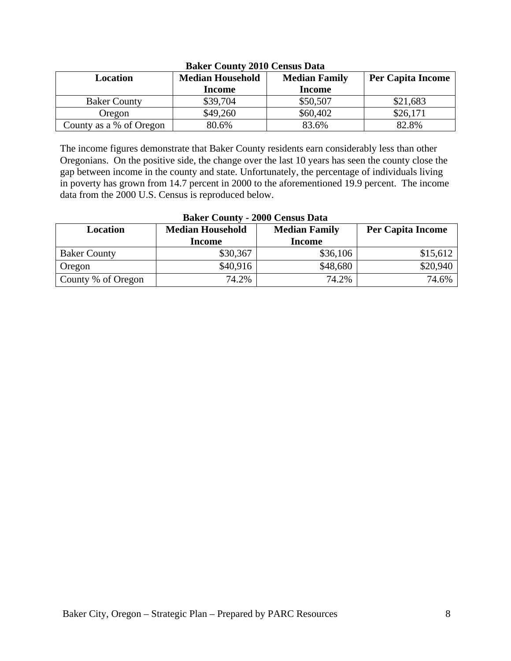| Dance County 2010 Census Dutu |                         |                      |                          |  |  |  |  |
|-------------------------------|-------------------------|----------------------|--------------------------|--|--|--|--|
| Location                      | <b>Median Household</b> | <b>Median Family</b> | <b>Per Capita Income</b> |  |  |  |  |
|                               | Income                  | Income               |                          |  |  |  |  |
| <b>Baker County</b>           | \$39,704                | \$50,507             | \$21,683                 |  |  |  |  |
| Oregon                        | \$49,260                | \$60,402             | \$26,171                 |  |  |  |  |
| County as a % of Oregon       | 80.6%                   | 83.6%                | 82.8%                    |  |  |  |  |

# **Baker County 2010 Census Data**

The income figures demonstrate that Baker County residents earn considerably less than other Oregonians. On the positive side, the change over the last 10 years has seen the county close the gap between income in the county and state. Unfortunately, the percentage of individuals living in poverty has grown from 14.7 percent in 2000 to the aforementioned 19.9 percent. The income data from the 2000 U.S. Census is reproduced below.

| <b>Baker County - 2000 Census Data</b> |                                                 |               |                          |  |  |
|----------------------------------------|-------------------------------------------------|---------------|--------------------------|--|--|
| Location                               | <b>Median Household</b><br><b>Median Family</b> |               | <b>Per Capita Income</b> |  |  |
|                                        | <b>Income</b>                                   | <b>Income</b> |                          |  |  |
| <b>Baker County</b>                    | \$30,367                                        | \$36,106      | \$15,612                 |  |  |
| Oregon                                 | \$40,916                                        | \$48,680      | \$20,940                 |  |  |
| County % of Oregon                     | 74.2%                                           | 74.2%         | 74.6%                    |  |  |

# **Baker County - 2000 Census Data**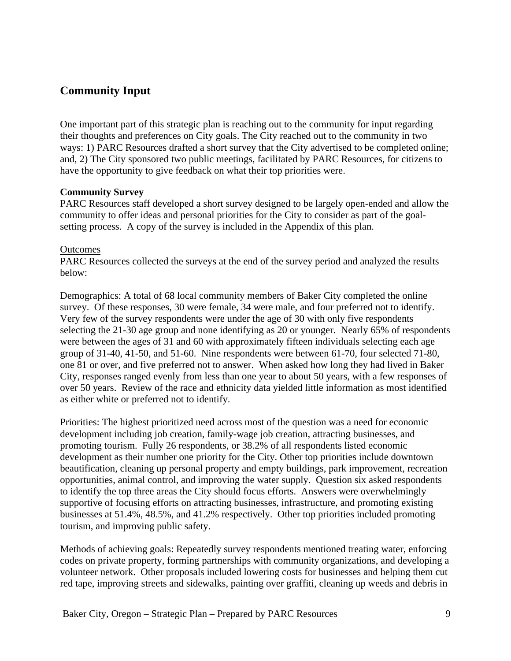# **Community Input**

One important part of this strategic plan is reaching out to the community for input regarding their thoughts and preferences on City goals. The City reached out to the community in two ways: 1) PARC Resources drafted a short survey that the City advertised to be completed online; and, 2) The City sponsored two public meetings, facilitated by PARC Resources, for citizens to have the opportunity to give feedback on what their top priorities were.

# **Community Survey**

PARC Resources staff developed a short survey designed to be largely open-ended and allow the community to offer ideas and personal priorities for the City to consider as part of the goalsetting process. A copy of the survey is included in the Appendix of this plan.

#### **Outcomes**

PARC Resources collected the surveys at the end of the survey period and analyzed the results below:

Demographics: A total of 68 local community members of Baker City completed the online survey. Of these responses, 30 were female, 34 were male, and four preferred not to identify. Very few of the survey respondents were under the age of 30 with only five respondents selecting the 21-30 age group and none identifying as 20 or younger. Nearly 65% of respondents were between the ages of 31 and 60 with approximately fifteen individuals selecting each age group of 31-40, 41-50, and 51-60. Nine respondents were between 61-70, four selected 71-80, one 81 or over, and five preferred not to answer. When asked how long they had lived in Baker City, responses ranged evenly from less than one year to about 50 years, with a few responses of over 50 years. Review of the race and ethnicity data yielded little information as most identified as either white or preferred not to identify.

Priorities: The highest prioritized need across most of the question was a need for economic development including job creation, family-wage job creation, attracting businesses, and promoting tourism. Fully 26 respondents, or 38.2% of all respondents listed economic development as their number one priority for the City. Other top priorities include downtown beautification, cleaning up personal property and empty buildings, park improvement, recreation opportunities, animal control, and improving the water supply. Question six asked respondents to identify the top three areas the City should focus efforts. Answers were overwhelmingly supportive of focusing efforts on attracting businesses, infrastructure, and promoting existing businesses at 51.4%, 48.5%, and 41.2% respectively. Other top priorities included promoting tourism, and improving public safety.

Methods of achieving goals: Repeatedly survey respondents mentioned treating water, enforcing codes on private property, forming partnerships with community organizations, and developing a volunteer network. Other proposals included lowering costs for businesses and helping them cut red tape, improving streets and sidewalks, painting over graffiti, cleaning up weeds and debris in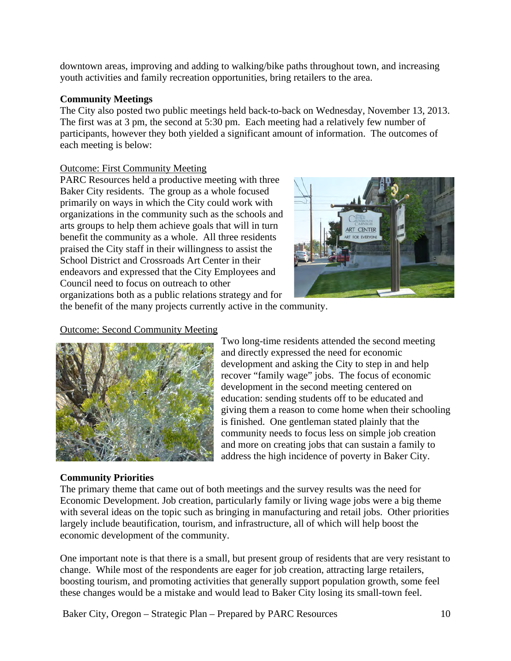downtown areas, improving and adding to walking/bike paths throughout town, and increasing youth activities and family recreation opportunities, bring retailers to the area.

# **Community Meetings**

The City also posted two public meetings held back-to-back on Wednesday, November 13, 2013. The first was at 3 pm, the second at 5:30 pm. Each meeting had a relatively few number of participants, however they both yielded a significant amount of information. The outcomes of each meeting is below:

# Outcome: First Community Meeting

PARC Resources held a productive meeting with three Baker City residents. The group as a whole focused primarily on ways in which the City could work with organizations in the community such as the schools and arts groups to help them achieve goals that will in turn benefit the community as a whole. All three residents praised the City staff in their willingness to assist the School District and Crossroads Art Center in their endeavors and expressed that the City Employees and Council need to focus on outreach to other organizations both as a public relations strategy and for



the benefit of the many projects currently active in the community.

# Outcome: Second Community Meeting



# **Community Priorities**

Two long-time residents attended the second meeting and directly expressed the need for economic development and asking the City to step in and help recover "family wage" jobs. The focus of economic development in the second meeting centered on education: sending students off to be educated and giving them a reason to come home when their schooling is finished. One gentleman stated plainly that the community needs to focus less on simple job creation and more on creating jobs that can sustain a family to address the high incidence of poverty in Baker City.

The primary theme that came out of both meetings and the survey results was the need for Economic Development. Job creation, particularly family or living wage jobs were a big theme with several ideas on the topic such as bringing in manufacturing and retail jobs. Other priorities largely include beautification, tourism, and infrastructure, all of which will help boost the economic development of the community.

One important note is that there is a small, but present group of residents that are very resistant to change. While most of the respondents are eager for job creation, attracting large retailers, boosting tourism, and promoting activities that generally support population growth, some feel these changes would be a mistake and would lead to Baker City losing its small-town feel.

Baker City, Oregon – Strategic Plan – Prepared by PARC Resources 10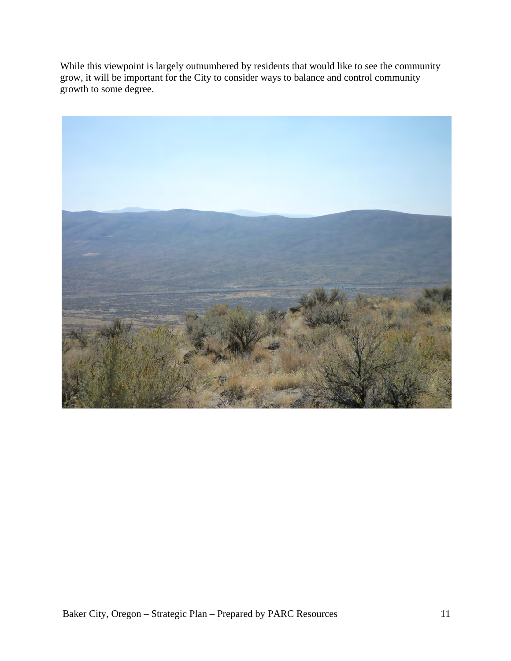While this viewpoint is largely outnumbered by residents that would like to see the community grow, it will be important for the City to consider ways to balance and control community growth to some degree.

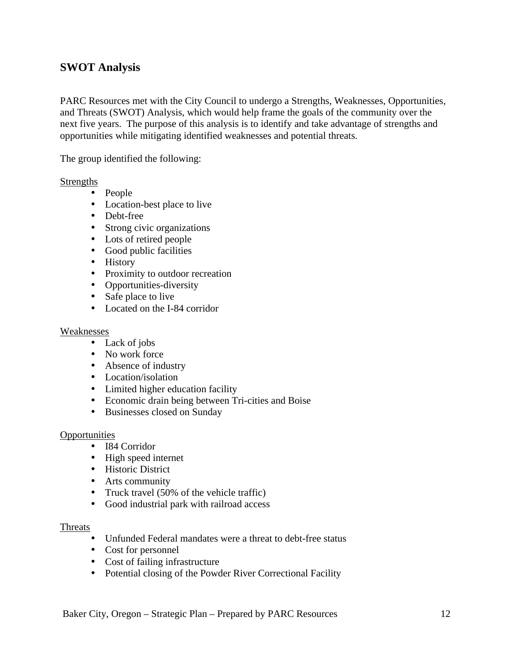# **SWOT Analysis**

PARC Resources met with the City Council to undergo a Strengths, Weaknesses, Opportunities, and Threats (SWOT) Analysis, which would help frame the goals of the community over the next five years. The purpose of this analysis is to identify and take advantage of strengths and opportunities while mitigating identified weaknesses and potential threats.

The group identified the following:

#### **Strengths**

- People
- Location-best place to live
- Debt-free
- Strong civic organizations
- Lots of retired people
- Good public facilities
- History
- Proximity to outdoor recreation
- Opportunities-diversity
- Safe place to live
- Located on the I-84 corridor

#### Weaknesses

- Lack of jobs
- No work force
- Absence of industry
- Location/isolation
- Limited higher education facility
- Economic drain being between Tri-cities and Boise
- Businesses closed on Sunday

#### **Opportunities**

- I84 Corridor
- High speed internet
- Historic District
- Arts community
- Truck travel (50% of the vehicle traffic)
- Good industrial park with railroad access

#### Threats

- Unfunded Federal mandates were a threat to debt-free status
- Cost for personnel
- Cost of failing infrastructure
- Potential closing of the Powder River Correctional Facility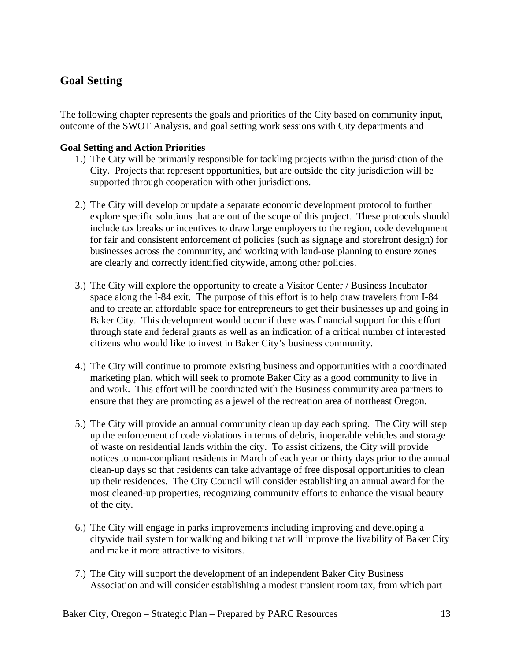# **Goal Setting**

The following chapter represents the goals and priorities of the City based on community input, outcome of the SWOT Analysis, and goal setting work sessions with City departments and

# **Goal Setting and Action Priorities**

- 1.) The City will be primarily responsible for tackling projects within the jurisdiction of the City. Projects that represent opportunities, but are outside the city jurisdiction will be supported through cooperation with other jurisdictions.
- 2.) The City will develop or update a separate economic development protocol to further explore specific solutions that are out of the scope of this project. These protocols should include tax breaks or incentives to draw large employers to the region, code development for fair and consistent enforcement of policies (such as signage and storefront design) for businesses across the community, and working with land-use planning to ensure zones are clearly and correctly identified citywide, among other policies.
- 3.) The City will explore the opportunity to create a Visitor Center / Business Incubator space along the I-84 exit. The purpose of this effort is to help draw travelers from I-84 and to create an affordable space for entrepreneurs to get their businesses up and going in Baker City. This development would occur if there was financial support for this effort through state and federal grants as well as an indication of a critical number of interested citizens who would like to invest in Baker City's business community.
- 4.) The City will continue to promote existing business and opportunities with a coordinated marketing plan, which will seek to promote Baker City as a good community to live in and work. This effort will be coordinated with the Business community area partners to ensure that they are promoting as a jewel of the recreation area of northeast Oregon.
- 5.) The City will provide an annual community clean up day each spring. The City will step up the enforcement of code violations in terms of debris, inoperable vehicles and storage of waste on residential lands within the city. To assist citizens, the City will provide notices to non-compliant residents in March of each year or thirty days prior to the annual clean-up days so that residents can take advantage of free disposal opportunities to clean up their residences. The City Council will consider establishing an annual award for the most cleaned-up properties, recognizing community efforts to enhance the visual beauty of the city.
- 6.) The City will engage in parks improvements including improving and developing a citywide trail system for walking and biking that will improve the livability of Baker City and make it more attractive to visitors.
- 7.) The City will support the development of an independent Baker City Business Association and will consider establishing a modest transient room tax, from which part

Baker City, Oregon – Strategic Plan – Prepared by PARC Resources 13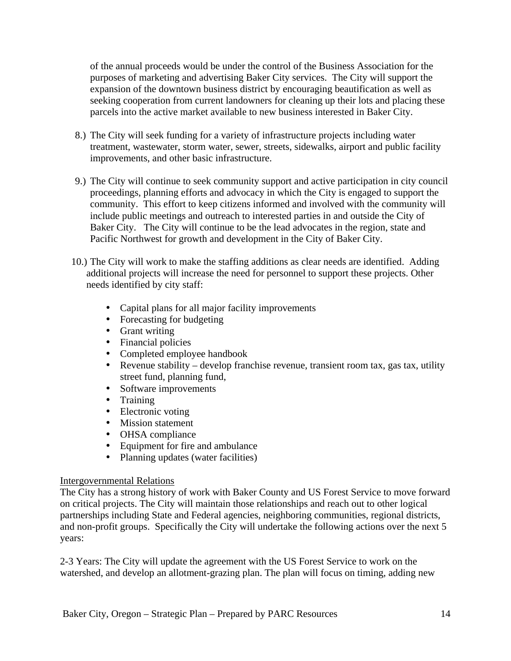of the annual proceeds would be under the control of the Business Association for the purposes of marketing and advertising Baker City services. The City will support the expansion of the downtown business district by encouraging beautification as well as seeking cooperation from current landowners for cleaning up their lots and placing these parcels into the active market available to new business interested in Baker City.

- 8.) The City will seek funding for a variety of infrastructure projects including water treatment, wastewater, storm water, sewer, streets, sidewalks, airport and public facility improvements, and other basic infrastructure.
- 9.) The City will continue to seek community support and active participation in city council proceedings, planning efforts and advocacy in which the City is engaged to support the community. This effort to keep citizens informed and involved with the community will include public meetings and outreach to interested parties in and outside the City of Baker City. The City will continue to be the lead advocates in the region, state and Pacific Northwest for growth and development in the City of Baker City.
- 10.) The City will work to make the staffing additions as clear needs are identified. Adding additional projects will increase the need for personnel to support these projects. Other needs identified by city staff:
	- Capital plans for all major facility improvements
	- Forecasting for budgeting
	- Grant writing
	- Financial policies
	- Completed employee handbook
	- Revenue stability develop franchise revenue, transient room tax, gas tax, utility street fund, planning fund,
	- Software improvements
	- Training
	- Electronic voting
	- Mission statement
	- OHSA compliance
	- Equipment for fire and ambulance
	- Planning updates (water facilities)

# Intergovernmental Relations

The City has a strong history of work with Baker County and US Forest Service to move forward on critical projects. The City will maintain those relationships and reach out to other logical partnerships including State and Federal agencies, neighboring communities, regional districts, and non-profit groups. Specifically the City will undertake the following actions over the next 5 years:

2-3 Years: The City will update the agreement with the US Forest Service to work on the watershed, and develop an allotment-grazing plan. The plan will focus on timing, adding new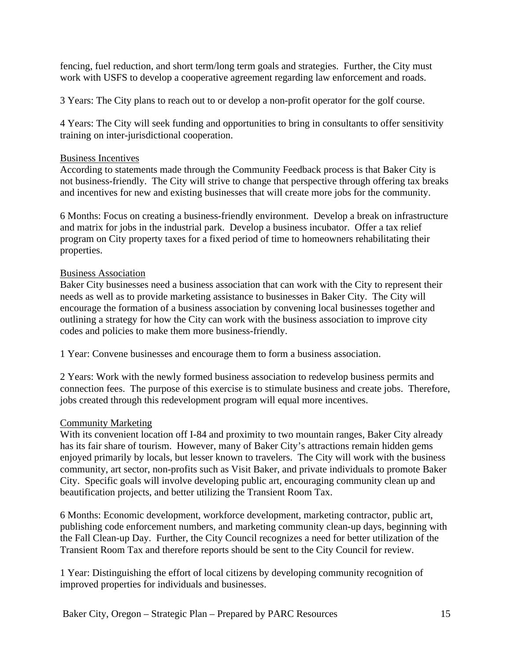fencing, fuel reduction, and short term/long term goals and strategies. Further, the City must work with USFS to develop a cooperative agreement regarding law enforcement and roads.

3 Years: The City plans to reach out to or develop a non-profit operator for the golf course.

4 Years: The City will seek funding and opportunities to bring in consultants to offer sensitivity training on inter-jurisdictional cooperation.

#### Business Incentives

According to statements made through the Community Feedback process is that Baker City is not business-friendly. The City will strive to change that perspective through offering tax breaks and incentives for new and existing businesses that will create more jobs for the community.

6 Months: Focus on creating a business-friendly environment. Develop a break on infrastructure and matrix for jobs in the industrial park. Develop a business incubator. Offer a tax relief program on City property taxes for a fixed period of time to homeowners rehabilitating their properties.

# Business Association

Baker City businesses need a business association that can work with the City to represent their needs as well as to provide marketing assistance to businesses in Baker City. The City will encourage the formation of a business association by convening local businesses together and outlining a strategy for how the City can work with the business association to improve city codes and policies to make them more business-friendly.

1 Year: Convene businesses and encourage them to form a business association.

2 Years: Work with the newly formed business association to redevelop business permits and connection fees. The purpose of this exercise is to stimulate business and create jobs. Therefore, jobs created through this redevelopment program will equal more incentives.

#### Community Marketing

With its convenient location off I-84 and proximity to two mountain ranges, Baker City already has its fair share of tourism. However, many of Baker City's attractions remain hidden gems enjoyed primarily by locals, but lesser known to travelers. The City will work with the business community, art sector, non-profits such as Visit Baker, and private individuals to promote Baker City. Specific goals will involve developing public art, encouraging community clean up and beautification projects, and better utilizing the Transient Room Tax.

6 Months: Economic development, workforce development, marketing contractor, public art, publishing code enforcement numbers, and marketing community clean-up days, beginning with the Fall Clean-up Day. Further, the City Council recognizes a need for better utilization of the Transient Room Tax and therefore reports should be sent to the City Council for review.

1 Year: Distinguishing the effort of local citizens by developing community recognition of improved properties for individuals and businesses.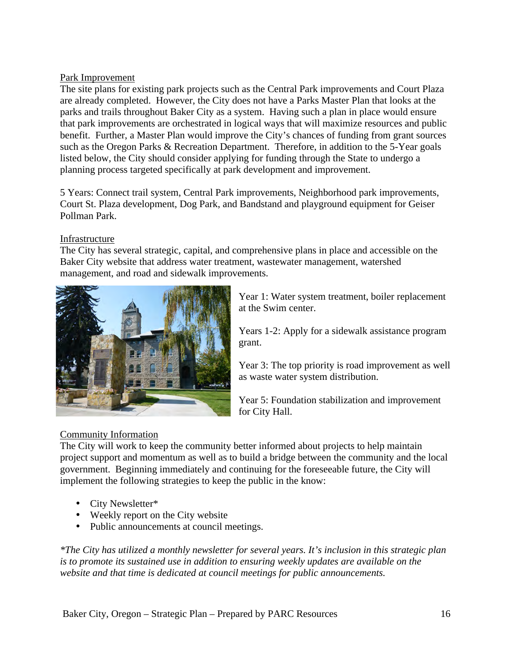# Park Improvement

The site plans for existing park projects such as the Central Park improvements and Court Plaza are already completed. However, the City does not have a Parks Master Plan that looks at the parks and trails throughout Baker City as a system. Having such a plan in place would ensure that park improvements are orchestrated in logical ways that will maximize resources and public benefit. Further, a Master Plan would improve the City's chances of funding from grant sources such as the Oregon Parks & Recreation Department. Therefore, in addition to the 5-Year goals listed below, the City should consider applying for funding through the State to undergo a planning process targeted specifically at park development and improvement.

5 Years: Connect trail system, Central Park improvements, Neighborhood park improvements, Court St. Plaza development, Dog Park, and Bandstand and playground equipment for Geiser Pollman Park.

# Infrastructure

The City has several strategic, capital, and comprehensive plans in place and accessible on the Baker City website that address water treatment, wastewater management, watershed management, and road and sidewalk improvements.



Year 1: Water system treatment, boiler replacement at the Swim center.

Years 1-2: Apply for a sidewalk assistance program grant.

Year 3: The top priority is road improvement as well as waste water system distribution.

Year 5: Foundation stabilization and improvement for City Hall.

# Community Information

The City will work to keep the community better informed about projects to help maintain project support and momentum as well as to build a bridge between the community and the local government. Beginning immediately and continuing for the foreseeable future, the City will implement the following strategies to keep the public in the know:

- City Newsletter\*
- Weekly report on the City website
- Public announcements at council meetings.

*\*The City has utilized a monthly newsletter for several years. It's inclusion in this strategic plan is to promote its sustained use in addition to ensuring weekly updates are available on the website and that time is dedicated at council meetings for public announcements.*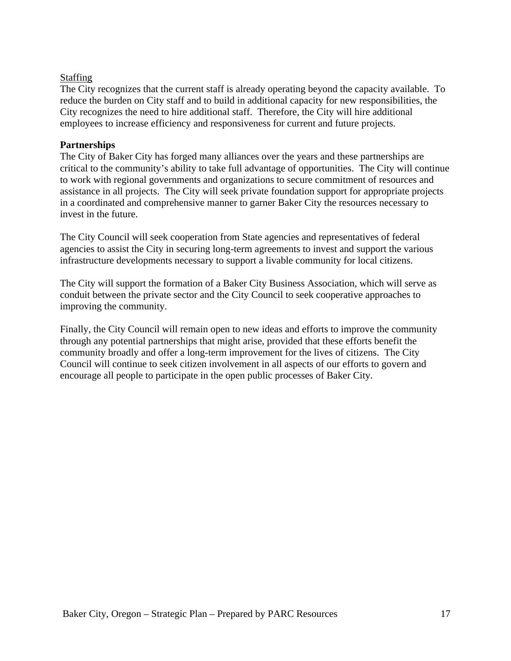# Staffing

The City recognizes that the current staff is already operating beyond the capacity available. To reduce the burden on City staff and to build in additional capacity for new responsibilities, the City recognizes the need to hire additional staff. Therefore, the City will hire additional employees to increase efficiency and responsiveness for current and future projects.

# **Partnerships**

The City of Baker City has forged many alliances over the years and these partnerships are critical to the community's ability to take full advantage of opportunities. The City will continue to work with regional governments and organizations to secure commitment of resources and assistance in all projects. The City will seek private foundation support for appropriate projects in a coordinated and comprehensive manner to garner Baker City the resources necessary to invest in the future.

The City Council will seek cooperation from State agencies and representatives of federal agencies to assist the City in securing long-term agreements to invest and support the various infrastructure developments necessary to support a livable community for local citizens.

The City will support the formation of a Baker City Business Association, which will serve as conduit between the private sector and the City Council to seek cooperative approaches to improving the community.

Finally, the City Council will remain open to new ideas and efforts to improve the community through any potential partnerships that might arise, provided that these efforts benefit the community broadly and offer a long-term improvement for the lives of citizens. The City Council will continue to seek citizen involvement in all aspects of our efforts to govern and encourage all people to participate in the open public processes of Baker City.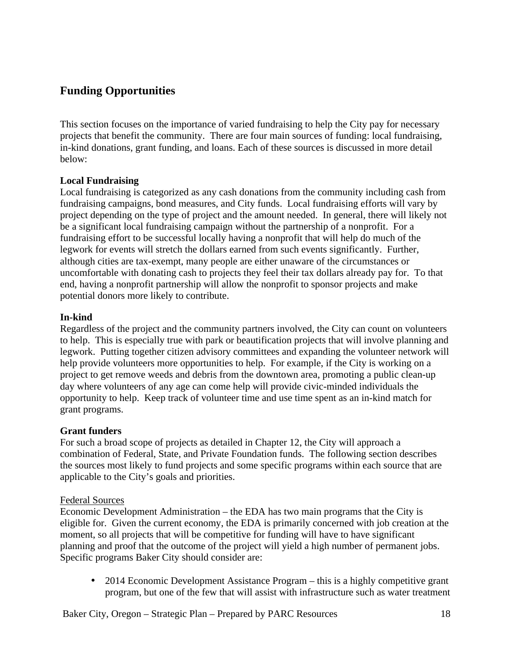# **Funding Opportunities**

This section focuses on the importance of varied fundraising to help the City pay for necessary projects that benefit the community. There are four main sources of funding: local fundraising, in-kind donations, grant funding, and loans. Each of these sources is discussed in more detail below:

# **Local Fundraising**

Local fundraising is categorized as any cash donations from the community including cash from fundraising campaigns, bond measures, and City funds. Local fundraising efforts will vary by project depending on the type of project and the amount needed. In general, there will likely not be a significant local fundraising campaign without the partnership of a nonprofit. For a fundraising effort to be successful locally having a nonprofit that will help do much of the legwork for events will stretch the dollars earned from such events significantly. Further, although cities are tax-exempt, many people are either unaware of the circumstances or uncomfortable with donating cash to projects they feel their tax dollars already pay for. To that end, having a nonprofit partnership will allow the nonprofit to sponsor projects and make potential donors more likely to contribute.

# **In-kind**

Regardless of the project and the community partners involved, the City can count on volunteers to help. This is especially true with park or beautification projects that will involve planning and legwork. Putting together citizen advisory committees and expanding the volunteer network will help provide volunteers more opportunities to help. For example, if the City is working on a project to get remove weeds and debris from the downtown area, promoting a public clean-up day where volunteers of any age can come help will provide civic-minded individuals the opportunity to help. Keep track of volunteer time and use time spent as an in-kind match for grant programs.

#### **Grant funders**

For such a broad scope of projects as detailed in Chapter 12, the City will approach a combination of Federal, State, and Private Foundation funds. The following section describes the sources most likely to fund projects and some specific programs within each source that are applicable to the City's goals and priorities.

#### Federal Sources

Economic Development Administration – the EDA has two main programs that the City is eligible for. Given the current economy, the EDA is primarily concerned with job creation at the moment, so all projects that will be competitive for funding will have to have significant planning and proof that the outcome of the project will yield a high number of permanent jobs. Specific programs Baker City should consider are:

• 2014 Economic Development Assistance Program – this is a highly competitive grant program, but one of the few that will assist with infrastructure such as water treatment

Baker City, Oregon – Strategic Plan – Prepared by PARC Resources 18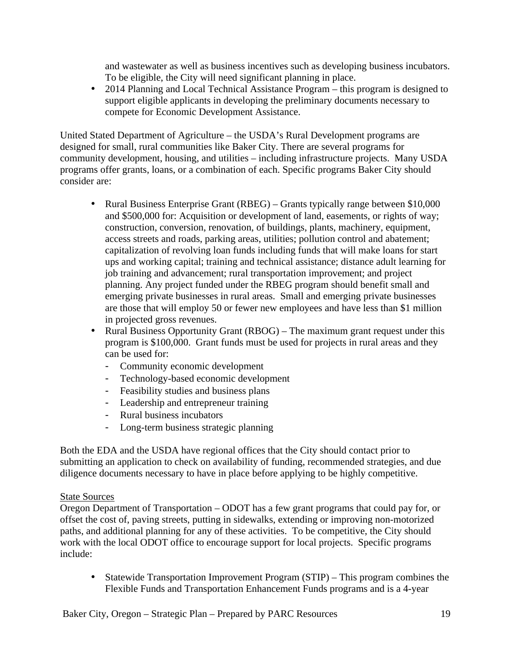and wastewater as well as business incentives such as developing business incubators. To be eligible, the City will need significant planning in place.

• 2014 Planning and Local Technical Assistance Program – this program is designed to support eligible applicants in developing the preliminary documents necessary to compete for Economic Development Assistance.

United Stated Department of Agriculture – the USDA's Rural Development programs are designed for small, rural communities like Baker City. There are several programs for community development, housing, and utilities – including infrastructure projects. Many USDA programs offer grants, loans, or a combination of each. Specific programs Baker City should consider are:

- Rural Business Enterprise Grant (RBEG) Grants typically range between \$10,000 and \$500,000 for: Acquisition or development of land, easements, or rights of way; construction, conversion, renovation, of buildings, plants, machinery, equipment, access streets and roads, parking areas, utilities; pollution control and abatement; capitalization of revolving loan funds including funds that will make loans for start ups and working capital; training and technical assistance; distance adult learning for job training and advancement; rural transportation improvement; and project planning. Any project funded under the RBEG program should benefit small and emerging private businesses in rural areas. Small and emerging private businesses are those that will employ 50 or fewer new employees and have less than \$1 million in projected gross revenues.
- Rural Business Opportunity Grant (RBOG) The maximum grant request under this program is \$100,000. Grant funds must be used for projects in rural areas and they can be used for:
	- Community economic development
	- Technology-based economic development
	- Feasibility studies and business plans
	- Leadership and entrepreneur training
	- Rural business incubators
	- Long-term business strategic planning

Both the EDA and the USDA have regional offices that the City should contact prior to submitting an application to check on availability of funding, recommended strategies, and due diligence documents necessary to have in place before applying to be highly competitive.

#### State Sources

Oregon Department of Transportation – ODOT has a few grant programs that could pay for, or offset the cost of, paving streets, putting in sidewalks, extending or improving non-motorized paths, and additional planning for any of these activities. To be competitive, the City should work with the local ODOT office to encourage support for local projects. Specific programs include:

• Statewide Transportation Improvement Program (STIP) – This program combines the Flexible Funds and Transportation Enhancement Funds programs and is a 4-year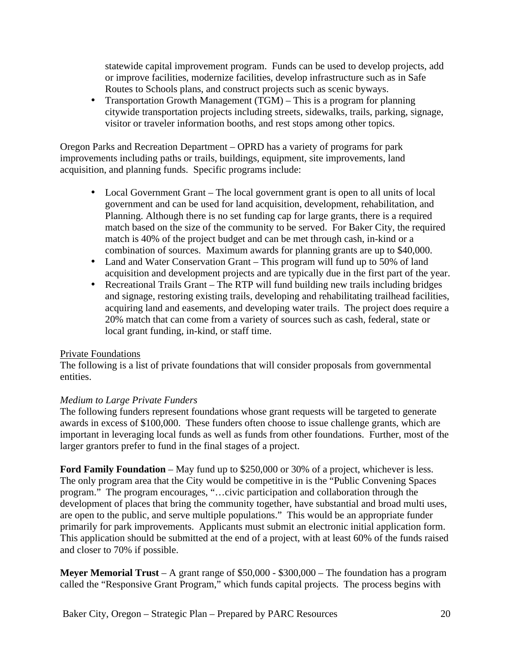statewide capital improvement program. Funds can be used to develop projects, add or improve facilities, modernize facilities, develop infrastructure such as in Safe Routes to Schools plans, and construct projects such as scenic byways.

• Transportation Growth Management (TGM) – This is a program for planning citywide transportation projects including streets, sidewalks, trails, parking, signage, visitor or traveler information booths, and rest stops among other topics.

Oregon Parks and Recreation Department – OPRD has a variety of programs for park improvements including paths or trails, buildings, equipment, site improvements, land acquisition, and planning funds. Specific programs include:

- Local Government Grant The local government grant is open to all units of local government and can be used for land acquisition, development, rehabilitation, and Planning. Although there is no set funding cap for large grants, there is a required match based on the size of the community to be served. For Baker City, the required match is 40% of the project budget and can be met through cash, in-kind or a combination of sources. Maximum awards for planning grants are up to \$40,000.
- Land and Water Conservation Grant This program will fund up to 50% of land acquisition and development projects and are typically due in the first part of the year.
- Recreational Trails Grant The RTP will fund building new trails including bridges and signage, restoring existing trails, developing and rehabilitating trailhead facilities, acquiring land and easements, and developing water trails. The project does require a 20% match that can come from a variety of sources such as cash, federal, state or local grant funding, in-kind, or staff time.

# Private Foundations

The following is a list of private foundations that will consider proposals from governmental entities.

# *Medium to Large Private Funders*

The following funders represent foundations whose grant requests will be targeted to generate awards in excess of \$100,000. These funders often choose to issue challenge grants, which are important in leveraging local funds as well as funds from other foundations. Further, most of the larger grantors prefer to fund in the final stages of a project.

**Ford Family Foundation** – May fund up to \$250,000 or 30% of a project, whichever is less. The only program area that the City would be competitive in is the "Public Convening Spaces program." The program encourages, "…civic participation and collaboration through the development of places that bring the community together, have substantial and broad multi uses, are open to the public, and serve multiple populations." This would be an appropriate funder primarily for park improvements. Applicants must submit an electronic initial application form. This application should be submitted at the end of a project, with at least 60% of the funds raised and closer to 70% if possible.

**Meyer Memorial Trust** – A grant range of \$50,000 - \$300,000 – The foundation has a program called the "Responsive Grant Program," which funds capital projects. The process begins with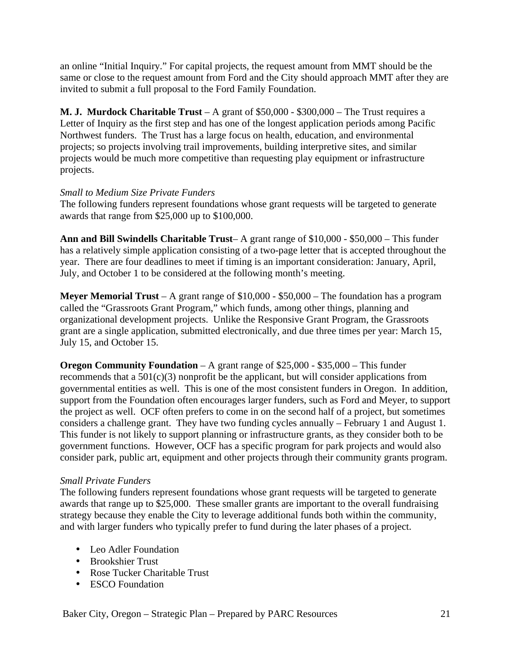an online "Initial Inquiry." For capital projects, the request amount from MMT should be the same or close to the request amount from Ford and the City should approach MMT after they are invited to submit a full proposal to the Ford Family Foundation.

**M. J. Murdock Charitable Trust** – A grant of \$50,000 - \$300,000 – The Trust requires a Letter of Inquiry as the first step and has one of the longest application periods among Pacific Northwest funders. The Trust has a large focus on health, education, and environmental projects; so projects involving trail improvements, building interpretive sites, and similar projects would be much more competitive than requesting play equipment or infrastructure projects.

# *Small to Medium Size Private Funders*

The following funders represent foundations whose grant requests will be targeted to generate awards that range from \$25,000 up to \$100,000.

**Ann and Bill Swindells Charitable Trust**– A grant range of \$10,000 - \$50,000 – This funder has a relatively simple application consisting of a two-page letter that is accepted throughout the year. There are four deadlines to meet if timing is an important consideration: January, April, July, and October 1 to be considered at the following month's meeting.

**Meyer Memorial Trust** – A grant range of \$10,000 - \$50,000 – The foundation has a program called the "Grassroots Grant Program," which funds, among other things, planning and organizational development projects. Unlike the Responsive Grant Program, the Grassroots grant are a single application, submitted electronically, and due three times per year: March 15, July 15, and October 15.

**Oregon Community Foundation** – A grant range of \$25,000 - \$35,000 – This funder recommends that a  $501(c)(3)$  nonprofit be the applicant, but will consider applications from governmental entities as well. This is one of the most consistent funders in Oregon. In addition, support from the Foundation often encourages larger funders, such as Ford and Meyer, to support the project as well. OCF often prefers to come in on the second half of a project, but sometimes considers a challenge grant. They have two funding cycles annually – February 1 and August 1. This funder is not likely to support planning or infrastructure grants, as they consider both to be government functions. However, OCF has a specific program for park projects and would also consider park, public art, equipment and other projects through their community grants program.

# *Small Private Funders*

The following funders represent foundations whose grant requests will be targeted to generate awards that range up to \$25,000. These smaller grants are important to the overall fundraising strategy because they enable the City to leverage additional funds both within the community, and with larger funders who typically prefer to fund during the later phases of a project.

- Leo Adler Foundation
- Brookshier Trust
- Rose Tucker Charitable Trust
- ESCO Foundation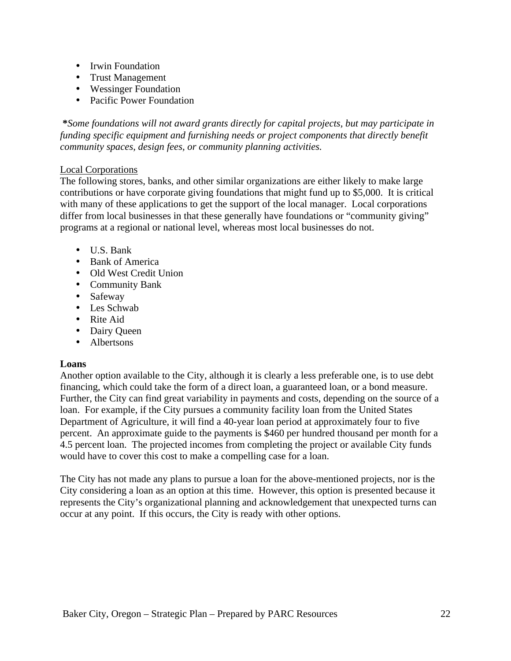- Irwin Foundation
- Trust Management
- Wessinger Foundation
- Pacific Power Foundation

 **\****Some foundations will not award grants directly for capital projects, but may participate in funding specific equipment and furnishing needs or project components that directly benefit community spaces, design fees, or community planning activities.*

# Local Corporations

The following stores, banks, and other similar organizations are either likely to make large contributions or have corporate giving foundations that might fund up to \$5,000. It is critical with many of these applications to get the support of the local manager. Local corporations differ from local businesses in that these generally have foundations or "community giving" programs at a regional or national level, whereas most local businesses do not.

- U.S. Bank
- Bank of America
- Old West Credit Union
- Community Bank
- Safeway
- Les Schwab
- Rite Aid
- Dairy Queen
- Albertsons

# **Loans**

Another option available to the City, although it is clearly a less preferable one, is to use debt financing, which could take the form of a direct loan, a guaranteed loan, or a bond measure. Further, the City can find great variability in payments and costs, depending on the source of a loan. For example, if the City pursues a community facility loan from the United States Department of Agriculture, it will find a 40-year loan period at approximately four to five percent. An approximate guide to the payments is \$460 per hundred thousand per month for a 4.5 percent loan. The projected incomes from completing the project or available City funds would have to cover this cost to make a compelling case for a loan.

The City has not made any plans to pursue a loan for the above-mentioned projects, nor is the City considering a loan as an option at this time. However, this option is presented because it represents the City's organizational planning and acknowledgement that unexpected turns can occur at any point. If this occurs, the City is ready with other options.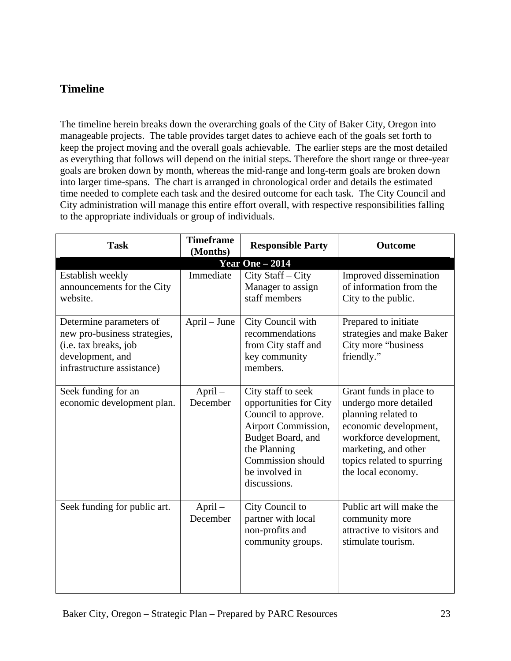# **Timeline**

The timeline herein breaks down the overarching goals of the City of Baker City, Oregon into manageable projects. The table provides target dates to achieve each of the goals set forth to keep the project moving and the overall goals achievable. The earlier steps are the most detailed as everything that follows will depend on the initial steps. Therefore the short range or three-year goals are broken down by month, whereas the mid-range and long-term goals are broken down into larger time-spans. The chart is arranged in chronological order and details the estimated time needed to complete each task and the desired outcome for each task. The City Council and City administration will manage this entire effort overall, with respective responsibilities falling to the appropriate individuals or group of individuals.

| <b>Task</b>                                                                                                                        | <b>Timeframe</b><br>(Months) | <b>Responsible Party</b>                                                                                                                                                               | Outcome                                                                                                                                                                                                |  |  |  |
|------------------------------------------------------------------------------------------------------------------------------------|------------------------------|----------------------------------------------------------------------------------------------------------------------------------------------------------------------------------------|--------------------------------------------------------------------------------------------------------------------------------------------------------------------------------------------------------|--|--|--|
| <b>Year One - 2014</b>                                                                                                             |                              |                                                                                                                                                                                        |                                                                                                                                                                                                        |  |  |  |
| Establish weekly<br>announcements for the City<br>website.                                                                         | Immediate                    | City Staff - City<br>Manager to assign<br>staff members                                                                                                                                | Improved dissemination<br>of information from the<br>City to the public.                                                                                                                               |  |  |  |
| Determine parameters of<br>new pro-business strategies,<br>(i.e. tax breaks, job<br>development, and<br>infrastructure assistance) | April – June                 | City Council with<br>recommendations<br>from City staff and<br>key community<br>members.                                                                                               | Prepared to initiate<br>strategies and make Baker<br>City more "business<br>friendly."                                                                                                                 |  |  |  |
| Seek funding for an<br>economic development plan.                                                                                  | April-<br>December           | City staff to seek<br>opportunities for City<br>Council to approve.<br>Airport Commission,<br>Budget Board, and<br>the Planning<br>Commission should<br>be involved in<br>discussions. | Grant funds in place to<br>undergo more detailed<br>planning related to<br>economic development,<br>workforce development,<br>marketing, and other<br>topics related to spurring<br>the local economy. |  |  |  |
| Seek funding for public art.                                                                                                       | $April -$<br>December        | City Council to<br>partner with local<br>non-profits and<br>community groups.                                                                                                          | Public art will make the<br>community more<br>attractive to visitors and<br>stimulate tourism.                                                                                                         |  |  |  |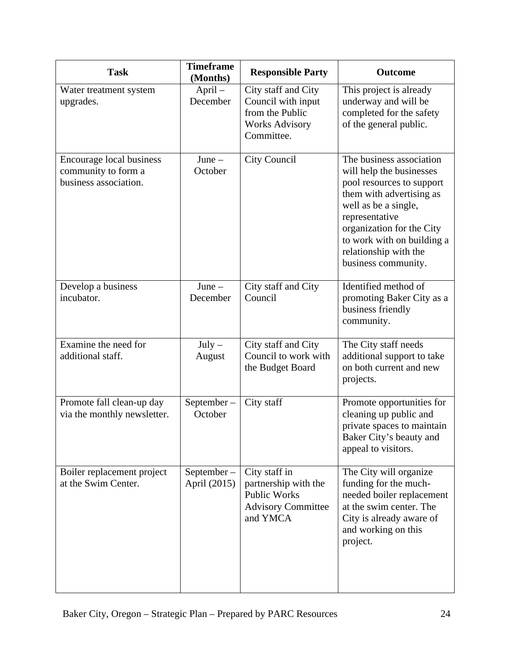| <b>Task</b>                                                              | <b>Timeframe</b><br>(Months)  | <b>Responsible Party</b>                                                                              | <b>Outcome</b>                                                                                                                                                                                                                                                     |
|--------------------------------------------------------------------------|-------------------------------|-------------------------------------------------------------------------------------------------------|--------------------------------------------------------------------------------------------------------------------------------------------------------------------------------------------------------------------------------------------------------------------|
| Water treatment system<br>upgrades.                                      | $April -$<br>December         | City staff and City<br>Council with input<br>from the Public<br><b>Works Advisory</b><br>Committee.   | This project is already<br>underway and will be<br>completed for the safety<br>of the general public.                                                                                                                                                              |
| Encourage local business<br>community to form a<br>business association. | $June -$<br>October           | <b>City Council</b>                                                                                   | The business association<br>will help the businesses<br>pool resources to support<br>them with advertising as<br>well as be a single,<br>representative<br>organization for the City<br>to work with on building a<br>relationship with the<br>business community. |
| Develop a business<br>incubator.                                         | $June -$<br>December          | City staff and City<br>Council                                                                        | Identified method of<br>promoting Baker City as a<br>business friendly<br>community.                                                                                                                                                                               |
| Examine the need for<br>additional staff.                                | $July -$<br>August            | City staff and City<br>Council to work with<br>the Budget Board                                       | The City staff needs<br>additional support to take<br>on both current and new<br>projects.                                                                                                                                                                         |
| Promote fall clean-up day<br>via the monthly newsletter.                 | September-<br>October         | City staff                                                                                            | Promote opportunities for<br>cleaning up public and<br>private spaces to maintain<br>Baker City's beauty and<br>appeal to visitors.                                                                                                                                |
| Boiler replacement project<br>at the Swim Center.                        | $September -$<br>April (2015) | City staff in<br>partnership with the<br><b>Public Works</b><br><b>Advisory Committee</b><br>and YMCA | The City will organize<br>funding for the much-<br>needed boiler replacement<br>at the swim center. The<br>City is already aware of<br>and working on this<br>project.                                                                                             |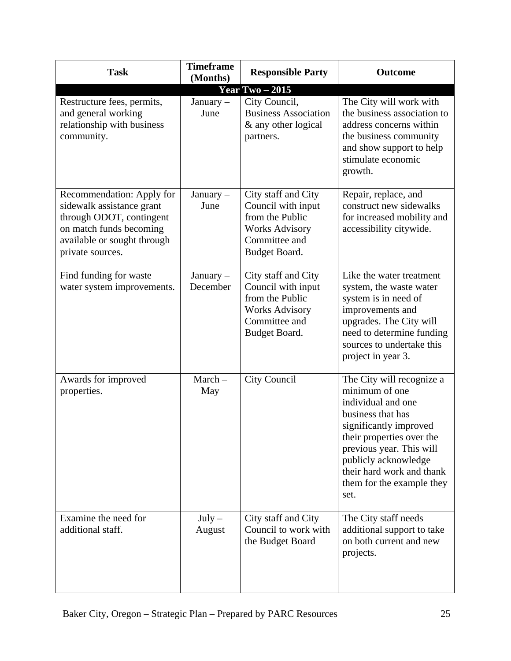| <b>Task</b>                                                                                                                                                      | <b>Timeframe</b><br>(Months) | <b>Responsible Party</b>                                                                                                | <b>Outcome</b>                                                                                                                                                                                                                                                      |  |  |  |
|------------------------------------------------------------------------------------------------------------------------------------------------------------------|------------------------------|-------------------------------------------------------------------------------------------------------------------------|---------------------------------------------------------------------------------------------------------------------------------------------------------------------------------------------------------------------------------------------------------------------|--|--|--|
| Year Two $-2015$                                                                                                                                                 |                              |                                                                                                                         |                                                                                                                                                                                                                                                                     |  |  |  |
| Restructure fees, permits,<br>and general working<br>relationship with business<br>community.                                                                    | January $-$<br>June          | City Council,<br><b>Business Association</b><br>& any other logical<br>partners.                                        | The City will work with<br>the business association to<br>address concerns within<br>the business community<br>and show support to help<br>stimulate economic<br>growth.                                                                                            |  |  |  |
| Recommendation: Apply for<br>sidewalk assistance grant<br>through ODOT, contingent<br>on match funds becoming<br>available or sought through<br>private sources. | January -<br>June            | City staff and City<br>Council with input<br>from the Public<br><b>Works Advisory</b><br>Committee and<br>Budget Board. | Repair, replace, and<br>construct new sidewalks<br>for increased mobility and<br>accessibility citywide.                                                                                                                                                            |  |  |  |
| Find funding for waste<br>water system improvements.                                                                                                             | January -<br>December        | City staff and City<br>Council with input<br>from the Public<br><b>Works Advisory</b><br>Committee and<br>Budget Board. | Like the water treatment<br>system, the waste water<br>system is in need of<br>improvements and<br>upgrades. The City will<br>need to determine funding<br>sources to undertake this<br>project in year 3.                                                          |  |  |  |
| Awards for improved<br>properties.                                                                                                                               | $March-$<br>May              | City Council                                                                                                            | The City will recognize a<br>minimum of one<br>individual and one<br>business that has<br>significantly improved<br>their properties over the<br>previous year. This will<br>publicly acknowledge<br>their hard work and thank<br>them for the example they<br>set. |  |  |  |
| Examine the need for<br>additional staff.                                                                                                                        | $July -$<br>August           | City staff and City<br>Council to work with<br>the Budget Board                                                         | The City staff needs<br>additional support to take<br>on both current and new<br>projects.                                                                                                                                                                          |  |  |  |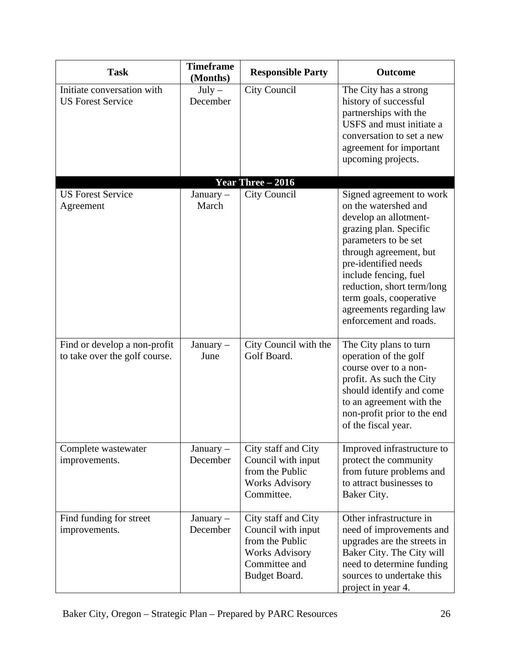| <b>Task</b>                                                   | <b>Timeframe</b><br>(Months) | <b>Responsible Party</b>                                                                                                | <b>Outcome</b>                                                                                                                                                                                                                                                                                                        |
|---------------------------------------------------------------|------------------------------|-------------------------------------------------------------------------------------------------------------------------|-----------------------------------------------------------------------------------------------------------------------------------------------------------------------------------------------------------------------------------------------------------------------------------------------------------------------|
| Initiate conversation with<br><b>US Forest Service</b>        | $July -$<br>December         | City Council                                                                                                            | The City has a strong<br>history of successful<br>partnerships with the<br>USFS and must initiate a<br>conversation to set a new<br>agreement for important<br>upcoming projects.                                                                                                                                     |
|                                                               |                              | Year Three $-2016$                                                                                                      |                                                                                                                                                                                                                                                                                                                       |
| <b>US Forest Service</b><br>Agreement                         | January-<br>March            | City Council                                                                                                            | Signed agreement to work<br>on the watershed and<br>develop an allotment-<br>grazing plan. Specific<br>parameters to be set<br>through agreement, but<br>pre-identified needs<br>include fencing, fuel<br>reduction, short term/long<br>term goals, cooperative<br>agreements regarding law<br>enforcement and roads. |
| Find or develop a non-profit<br>to take over the golf course. | January $-$<br>June          | City Council with the<br>Golf Board.                                                                                    | The City plans to turn<br>operation of the golf<br>course over to a non-<br>profit. As such the City<br>should identify and come<br>to an agreement with the<br>non-profit prior to the end<br>of the fiscal year.                                                                                                    |
| Complete wastewater<br>improvements.                          | January $-$<br>December      | City staff and City<br>Council with input<br>from the Public<br><b>Works Advisory</b><br>Committee.                     | Improved infrastructure to<br>protect the community<br>from future problems and<br>to attract businesses to<br>Baker City.                                                                                                                                                                                            |
| Find funding for street<br>improvements.                      | January $-$<br>December      | City staff and City<br>Council with input<br>from the Public<br><b>Works Advisory</b><br>Committee and<br>Budget Board. | Other infrastructure in<br>need of improvements and<br>upgrades are the streets in<br>Baker City. The City will<br>need to determine funding<br>sources to undertake this<br>project in year 4.                                                                                                                       |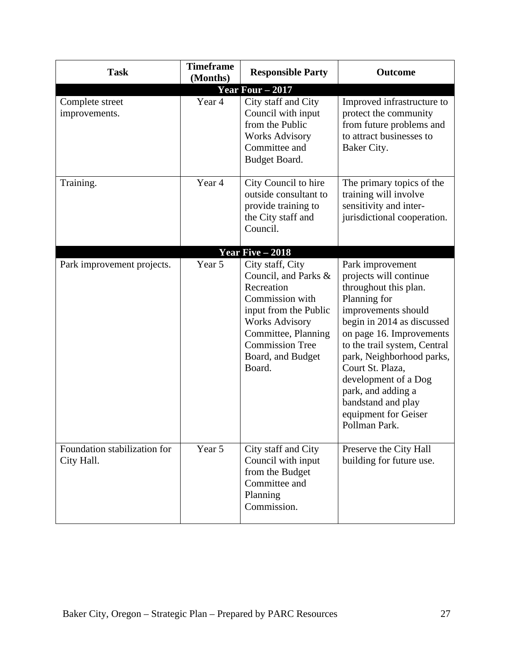| <b>Task</b>                                | <b>Timeframe</b><br>(Months) | <b>Responsible Party</b>                                                                                                                                                                                    | <b>Outcome</b>                                                                                                                                                                                                                                                                                                                                                     |  |  |  |
|--------------------------------------------|------------------------------|-------------------------------------------------------------------------------------------------------------------------------------------------------------------------------------------------------------|--------------------------------------------------------------------------------------------------------------------------------------------------------------------------------------------------------------------------------------------------------------------------------------------------------------------------------------------------------------------|--|--|--|
| <b>Year Four – 2017</b>                    |                              |                                                                                                                                                                                                             |                                                                                                                                                                                                                                                                                                                                                                    |  |  |  |
| Complete street<br>improvements.           | Year 4                       | City staff and City<br>Council with input<br>from the Public<br><b>Works Advisory</b><br>Committee and<br>Budget Board.                                                                                     | Improved infrastructure to<br>protect the community<br>from future problems and<br>to attract businesses to<br>Baker City.                                                                                                                                                                                                                                         |  |  |  |
| Training.                                  | Year 4                       | City Council to hire<br>outside consultant to<br>provide training to<br>the City staff and<br>Council.                                                                                                      | The primary topics of the<br>training will involve<br>sensitivity and inter-<br>jurisdictional cooperation.                                                                                                                                                                                                                                                        |  |  |  |
|                                            |                              | Year Five $-2018$                                                                                                                                                                                           |                                                                                                                                                                                                                                                                                                                                                                    |  |  |  |
| Park improvement projects.                 | Year 5                       | City staff, City<br>Council, and Parks &<br>Recreation<br>Commission with<br>input from the Public<br><b>Works Advisory</b><br>Committee, Planning<br><b>Commission Tree</b><br>Board, and Budget<br>Board. | Park improvement<br>projects will continue<br>throughout this plan.<br>Planning for<br>improvements should<br>begin in 2014 as discussed<br>on page 16. Improvements<br>to the trail system, Central<br>park, Neighborhood parks,<br>Court St. Plaza,<br>development of a Dog<br>park, and adding a<br>bandstand and play<br>equipment for Geiser<br>Pollman Park. |  |  |  |
| Foundation stabilization for<br>City Hall. | Year 5                       | City staff and City<br>Council with input<br>from the Budget<br>Committee and<br>Planning<br>Commission.                                                                                                    | Preserve the City Hall<br>building for future use.                                                                                                                                                                                                                                                                                                                 |  |  |  |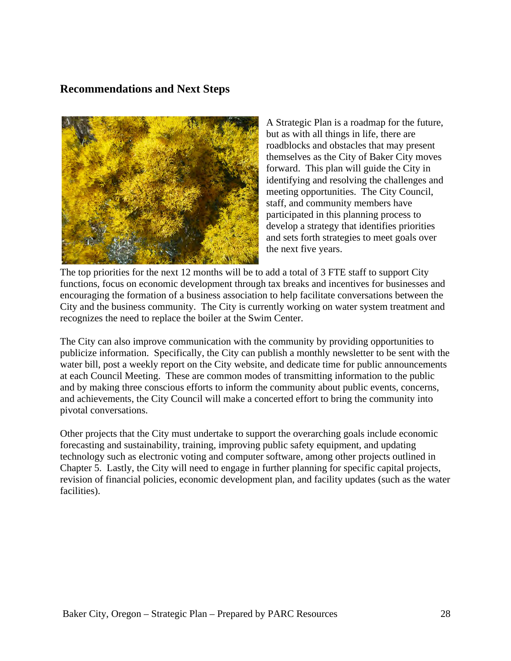# **Recommendations and Next Steps**



A Strategic Plan is a roadmap for the future, but as with all things in life, there are roadblocks and obstacles that may present themselves as the City of Baker City moves forward. This plan will guide the City in identifying and resolving the challenges and meeting opportunities. The City Council, staff, and community members have participated in this planning process to develop a strategy that identifies priorities and sets forth strategies to meet goals over the next five years.

The top priorities for the next 12 months will be to add a total of 3 FTE staff to support City functions, focus on economic development through tax breaks and incentives for businesses and encouraging the formation of a business association to help facilitate conversations between the City and the business community. The City is currently working on water system treatment and recognizes the need to replace the boiler at the Swim Center.

The City can also improve communication with the community by providing opportunities to publicize information. Specifically, the City can publish a monthly newsletter to be sent with the water bill, post a weekly report on the City website, and dedicate time for public announcements at each Council Meeting. These are common modes of transmitting information to the public and by making three conscious efforts to inform the community about public events, concerns, and achievements, the City Council will make a concerted effort to bring the community into pivotal conversations.

Other projects that the City must undertake to support the overarching goals include economic forecasting and sustainability, training, improving public safety equipment, and updating technology such as electronic voting and computer software, among other projects outlined in Chapter 5. Lastly, the City will need to engage in further planning for specific capital projects, revision of financial policies, economic development plan, and facility updates (such as the water facilities).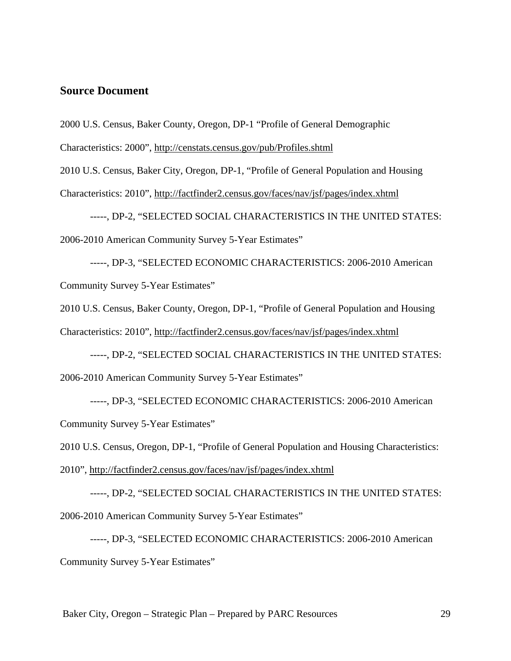#### **Source Document**

2000 U.S. Census, Baker County, Oregon, DP-1 "Profile of General Demographic

Characteristics: 2000", http://censtats.census.gov/pub/Profiles.shtml

2010 U.S. Census, Baker City, Oregon, DP-1, "Profile of General Population and Housing Characteristics: 2010", http://factfinder2.census.gov/faces/nav/jsf/pages/index.xhtml

-----, DP-2, "SELECTED SOCIAL CHARACTERISTICS IN THE UNITED STATES: 2006-2010 American Community Survey 5-Year Estimates"

-----, DP-3, "SELECTED ECONOMIC CHARACTERISTICS: 2006-2010 American Community Survey 5-Year Estimates"

2010 U.S. Census, Baker County, Oregon, DP-1, "Profile of General Population and Housing Characteristics: 2010", http://factfinder2.census.gov/faces/nav/jsf/pages/index.xhtml

-----, DP-2, "SELECTED SOCIAL CHARACTERISTICS IN THE UNITED STATES: 2006-2010 American Community Survey 5-Year Estimates"

-----, DP-3, "SELECTED ECONOMIC CHARACTERISTICS: 2006-2010 American Community Survey 5-Year Estimates"

2010 U.S. Census, Oregon, DP-1, "Profile of General Population and Housing Characteristics: 2010", http://factfinder2.census.gov/faces/nav/jsf/pages/index.xhtml

-----, DP-2, "SELECTED SOCIAL CHARACTERISTICS IN THE UNITED STATES: 2006-2010 American Community Survey 5-Year Estimates"

-----, DP-3, "SELECTED ECONOMIC CHARACTERISTICS: 2006-2010 American Community Survey 5-Year Estimates"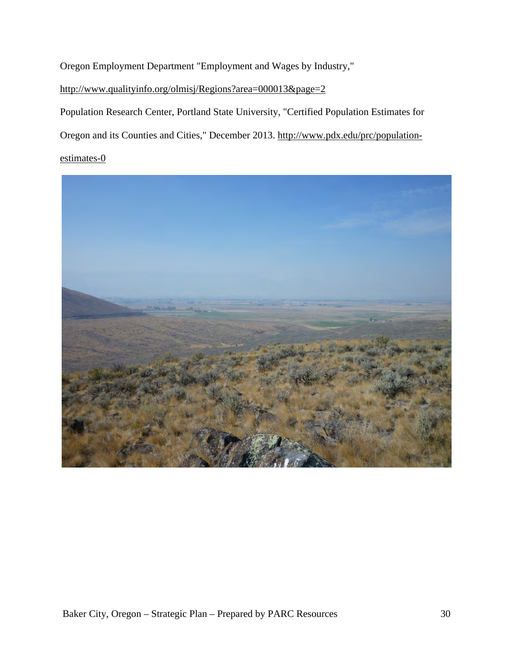Oregon Employment Department "Employment and Wages by Industry,"

# http://www.qualityinfo.org/olmisj/Regions?area=000013&page=2

Population Research Center, Portland State University, "Certified Population Estimates for

Oregon and its Counties and Cities," December 2013. http://www.pdx.edu/prc/population-

# estimates-0

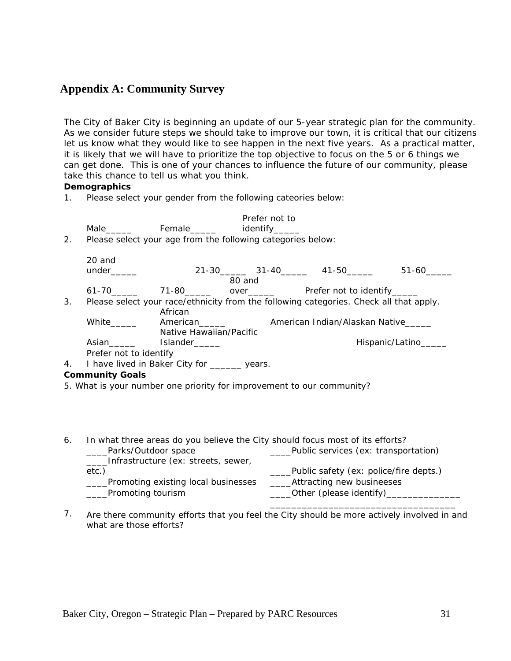# **Appendix A: Community Survey**

*The City of Baker City is beginning an update of our 5-year strategic plan for the community. As we consider future steps we should take to improve our town, it is critical that our citizens let us know what they would like to see happen in the next five years. As a practical matter, it is likely that we will have to prioritize the top objective to focus on the 5 or 6 things we can get done. This is one of your chances to influence the future of our community, please take this chance to tell us what you think.*

**Demographics**

1. Please select your gender from the following cateories below:

|    |                                                             |                          | Prefer not to                |                                                                                        |                      |
|----|-------------------------------------------------------------|--------------------------|------------------------------|----------------------------------------------------------------------------------------|----------------------|
|    | Male                                                        |                          | Female_______ identify______ |                                                                                        |                      |
| 2. | Please select your age from the following categories below: |                          |                              |                                                                                        |                      |
|    | 20 and                                                      |                          |                              |                                                                                        |                      |
|    |                                                             |                          |                              | 21-30 31-40 41-50                                                                      | 51-60                |
|    |                                                             |                          | 80 and                       |                                                                                        |                      |
|    |                                                             |                          |                              |                                                                                        |                      |
| 3. |                                                             |                          |                              | Please select your race/ethnicity from the following categories. Check all that apply. |                      |
|    |                                                             | African                  |                              |                                                                                        |                      |
|    | White _______                                               | American <b>American</b> |                              | American Indian/Alaskan Native                                                         |                      |
|    |                                                             | Native Hawaiian/Pacific  |                              |                                                                                        |                      |
|    | Asian                                                       | Islander______           |                              |                                                                                        | Hispanic/Latino_____ |
|    | Prefer not to identify                                      |                          |                              |                                                                                        |                      |
| 4. | I have lived in Baker City for _______ years.               |                          |                              |                                                                                        |                      |
|    | <b>Community Goals</b>                                      |                          |                              |                                                                                        |                      |

- 5. What is your number one priority for improvement to our community?
- 6. In what three areas do you believe the City should focus most of its efforts? Parks/Outdoor space The Subsetted Public services (ex: transportation) \_\_\_\_Infrastructure (ex: streets, sewer, etc.) **Example 2** and the control of the public safety (ex: police/fire depts.) \_\_\_\_Promoting existing local businesses \_\_\_\_Attracting new busineeses Promoting tourism and the control of the College of Chease identify) \_\_\_\_\_\_\_\_\_\_\_\_\_\_\_\_\_\_\_\_\_\_\_\_\_\_\_\_\_\_\_\_\_\_\_
- 7. Are there community efforts that you feel the City should be more actively involved in and what are those efforts?